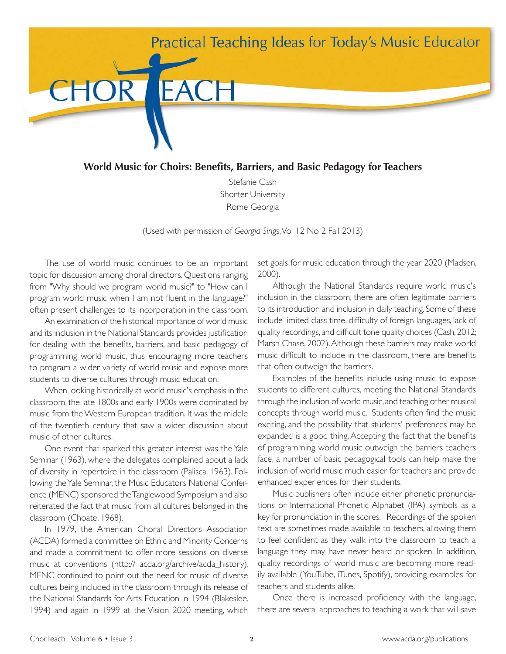

**World Music for Choirs: Benefits, Barriers, and Basic Pedagogy for Teachers** 

Stefanie Cash Shorter University Rome Georgia

(Used with permission of *Georgia Sings*, Vol 12 No 2 Fall 2013)

The use of world music continues to be an important topic for discussion among choral directors. Questions ranging from "Why should we program world music?" to "How can I program world music when I am not fluent in the language?" often present challenges to its incorporation in the classroom.

An examination of the historical importance of world music and its inclusion in the National Standards provides justification for dealing with the benefits, barriers, and basic pedagogy of programming world music, thus encouraging more teachers to program a wider variety of world music and expose more students to diverse cultures through music education.

When looking historically at world music's emphasis in the classroom, the late 1800s and early 1900s were dominated by music from the Western European tradition. It was the middle of the twentieth century that saw a wider discussion about music of other cultures.

One event that sparked this greater interest was the Yale Seminar (1963), where the delegates complained about a lack of diversity in repertoire in the classroom (Palisca, 1963). Following the Yale Seminar, the Music Educators National Conference (MENC) sponsored the Tanglewood Symposium and also reiterated the fact that music from all cultures belonged in the classroom (Choate, 1968).

In 1979, the American Choral Directors Association (ACDA) formed a committee on Ethnic and Minority Concerns and made a commitment to offer more sessions on diverse music at conventions (http:// acda.org/archive/acda\_history). MENC continued to point out the need for music of diverse cultures being included in the classroom through its release of the National Standards for Arts Education in 1994 (Blakeslee, 1994) and again in 1999 at the Vision 2020 meeting, which

set goals for music education through the year 2020 (Madsen, 2000).

Although the National Standards require world music's inclusion in the classroom, there are often legitimate barriers to its introduction and inclusion in daily teaching. Some of these include limited class time, difficulty of foreign languages, lack of quality recordings, and difficult tone quality choices (Cash, 2012; Marsh Chase, 2002). Although these barriers may make world music difficult to include in the classroom, there are benefits that often outweigh the barriers.

Examples of the benefits include using music to expose students to different cultures, meeting the National Standards through the inclusion of world music, and teaching other musical concepts through world music. Students often find the music exciting, and the possibility that students' preferences may be expanded is a good thing. Accepting the fact that the benefits of programming world music outweigh the barriers teachers face, a number of basic pedagogical tools can help make the inclusion of world music much easier for teachers and provide enhanced experiences for their students.

Music publishers often include either phonetic pronunciations or International Phonetic Alphabet (IPA) symbols as a key for pronunciation in the scores. Recordings of the spoken text are sometimes made available to teachers, allowing them to feel confident as they walk into the classroom to teach a language they may have never heard or spoken. In addition, quality recordings of world music are becoming more readily available (YouTube, iTunes, Spotify), providing examples for teachers and students alike.

Once there is increased proficiency with the language, there are several approaches to teaching a work that will save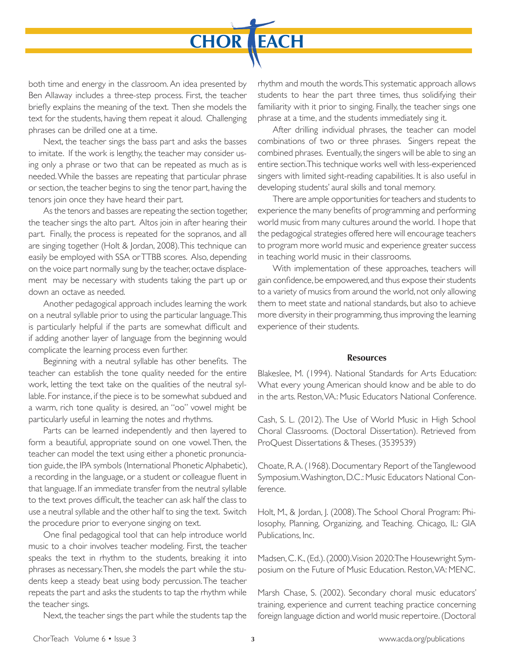

both time and energy in the classroom. An idea presented by Ben Allaway includes a three-step process. First, the teacher briefly explains the meaning of the text. Then she models the text for the students, having them repeat it aloud. Challenging phrases can be drilled one at a time.

Next, the teacher sings the bass part and asks the basses to imitate. If the work is lengthy, the teacher may consider using only a phrase or two that can be repeated as much as is needed. While the basses are repeating that particular phrase or section, the teacher begins to sing the tenor part, having the tenors join once they have heard their part.

As the tenors and basses are repeating the section together, the teacher sings the alto part. Altos join in after hearing their part. Finally, the process is repeated for the sopranos, and all are singing together (Holt & Jordan, 2008). This technique can easily be employed with SSA or TTBB scores. Also, depending on the voice part normally sung by the teacher, octave displacement may be necessary with students taking the part up or down an octave as needed.

Another pedagogical approach includes learning the work on a neutral syllable prior to using the particular language. This is particularly helpful if the parts are somewhat difficult and if adding another layer of language from the beginning would complicate the learning process even further.

Beginning with a neutral syllable has other benefits. The teacher can establish the tone quality needed for the entire work, letting the text take on the qualities of the neutral syllable. For instance, if the piece is to be somewhat subdued and a warm, rich tone quality is desired, an "oo" vowel might be particularly useful in learning the notes and rhythms.

Parts can be learned independently and then layered to form a beautiful, appropriate sound on one vowel. Then, the teacher can model the text using either a phonetic pronunciation guide, the IPA symbols (International Phonetic Alphabetic), a recording in the language, or a student or colleague fluent in that language. If an immediate transfer from the neutral syllable to the text proves difficult, the teacher can ask half the class to use a neutral syllable and the other half to sing the text. Switch the procedure prior to everyone singing on text.

One final pedagogical tool that can help introduce world music to a choir involves teacher modeling. First, the teacher speaks the text in rhythm to the students, breaking it into phrases as necessary. Then, she models the part while the students keep a steady beat using body percussion. The teacher repeats the part and asks the students to tap the rhythm while the teacher sings.

Next, the teacher sings the part while the students tap the

rhythm and mouth the words. This systematic approach allows students to hear the part three times, thus solidifying their familiarity with it prior to singing. Finally, the teacher sings one phrase at a time, and the students immediately sing it.

After drilling individual phrases, the teacher can model combinations of two or three phrases. Singers repeat the combined phrases. Eventually, the singers will be able to sing an entire section. This technique works well with less-experienced singers with limited sight-reading capabilities. It is also useful in developing students' aural skills and tonal memory.

There are ample opportunities for teachers and students to experience the many benefits of programming and performing world music from many cultures around the world. I hope that the pedagogical strategies offered here will encourage teachers to program more world music and experience greater success in teaching world music in their classrooms.

With implementation of these approaches, teachers will gain confidence, be empowered, and thus expose their students to a variety of musics from around the world, not only allowing them to meet state and national standards, but also to achieve more diversity in their programming, thus improving the learning experience of their students.

#### **Resources**

Blakeslee, M. (1994). National Standards for Arts Education: What every young American should know and be able to do in the arts. Reston, VA.: Music Educators National Conference.

Cash, S. L. (2012). The Use of World Music in High School Choral Classrooms. (Doctoral Dissertation). Retrieved from ProQuest Dissertations & Theses. (3539539)

Choate, R. A. (1968). Documentary Report of the Tanglewood Symposium. Washington, D.C.: Music Educators National Conference.

Holt, M., & Jordan, J. (2008). The School Choral Program: Philosophy, Planning, Organizing, and Teaching. Chicago, IL: GIA Publications, Inc.

Madsen, C. K., (Ed.). (2000). Vision 2020: The Housewright Symposium on the Future of Music Education. Reston, VA: MENC.

Marsh Chase, S. (2002). Secondary choral music educators' training, experience and current teaching practice concerning foreign language diction and world music repertoire. (Doctoral